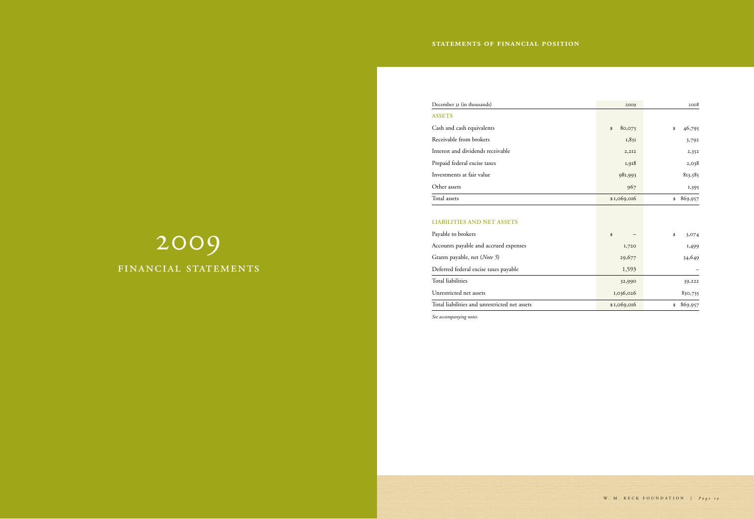# 2009 financial statements

# December 31 (in thousands) 2009

## **Assets**

| December 31 (in thousands)                    | 2009         | 2008          |
|-----------------------------------------------|--------------|---------------|
| <b>ASSETS</b>                                 |              |               |
| Cash and cash equivalents                     | 80,075<br>\$ | 46,795<br>\$  |
| Receivable from brokers                       | 1,851        | 3,792         |
| Interest and dividends receivable             | 2,2I2        | 2,352         |
| Prepaid federal excise taxes                  | 1,918        | 2,038         |
| Investments at fair value                     | 981,993      | 813,585       |
| Other assets                                  | 967          | 1,395         |
| Total assets                                  | \$1,069,016  | 869,957<br>\$ |
|                                               |              |               |
| <b>LIABILITIES AND NET ASSETS</b>             |              |               |
| Payable to brokers                            | \$           | \$<br>3,074   |
| Accounts payable and accrued expenses         | 1,720        | 1,499         |
| Grants payable, net (Note 5)                  | 29,677       | 34,649        |
| Deferred federal excise taxes payable         | 1,593        |               |
| <b>Total liabilities</b>                      | 32,990       | 39,222        |
| Unrestricted net assets                       | 1,036,026    | 830,735       |
| Total liabilities and unrestricted net assets | \$1,069,016  | 869,957<br>\$ |

## **Liabilities and net assets**

*See accompanying notes.*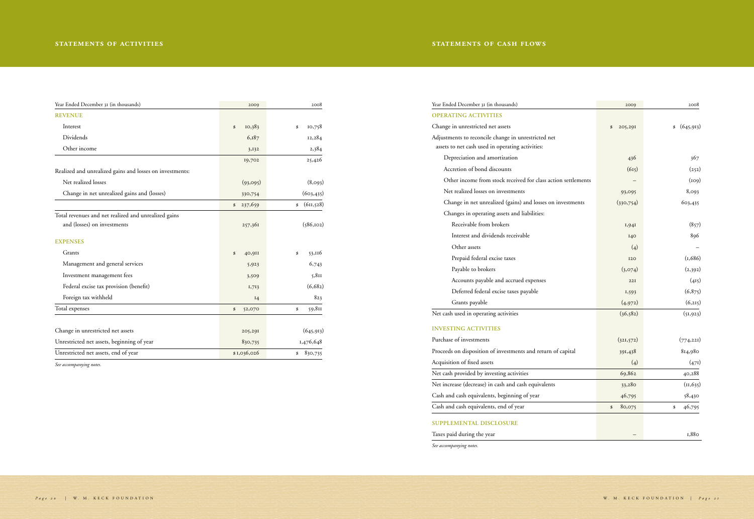Year Ended December 31 (in thousands) 2009 2008 **Operating activities** Change in unrestricted net assets Adjustments to reconcile change in unrestricted net assets to net cash used in operating activities: Depreciation and amortization Accretion of bond discounts Other income from stock received for class action settlements Net realized losses on investments Change in net unrealized (gains) and losses on investments Changes in operating assets and liabilities: Receivable from brokers Interest and dividends receivable Other assets Prepaid federal excise taxes Payable to brokers Accounts payable and accrued expenses Deferred federal excise taxes payable Grants payable Net cash used in operating activities

#### **Investing activities**

Purchase of investments

Proceeds on disposition of investments and return of capital

Acquisition of fixed assets

Net cash provided by investing activities

Net increase (decrease) in cash and cash equivalents

Cash and cash equivalents, beginning of year

Cash and cash equivalents, end of year

## **supplemental disclosure**

Taxes paid during the year

*See accompanying notes.*

| ∠∪∪              | 2009          |  |
|------------------|---------------|--|
| (645, 913)<br>\$ | \$<br>205,291 |  |
| 367              | 436           |  |
| (252)            | (615)         |  |
| (109)            |               |  |
| 8,093            | 93,095        |  |
| 603,435          | (330,754)     |  |
| (857)            | 1,941         |  |
| 896              | 140           |  |
|                  | (4)           |  |
| (1,686)          | <b>I20</b>    |  |
| (2,392)          | (3,074)       |  |
| (415)            | 22I           |  |
| (6,875)          | 1,593         |  |
| (6,215)          | (4,972)       |  |
| (51, 923)        | (36, 582)     |  |
| (774, 221)       | (321,572)     |  |
| 814,980          | 391,438       |  |
| (471)            | (4)           |  |
| 40,288           | 69,862        |  |
| (11, 635)        | 33,280        |  |
| 58,430           | 46,795        |  |
| 46,795<br>\$     | 80,075<br>\$  |  |
|                  |               |  |
| 1,880            |               |  |

*Page 20* | W. M. KECK FOUNDATION | *Page 21* 

| Year Ended December 31 (in thousands)                    | 2009          | 2008             |
|----------------------------------------------------------|---------------|------------------|
| <b>REVENUE</b>                                           |               |                  |
| Interest                                                 | 10,383<br>\$  | 10,758<br>\$     |
| Dividends                                                | 6,187         | 12,284           |
| Other income                                             | 3,132         | 2,384            |
|                                                          | 19,702        | 25,426           |
| Realized and unrealized gains and losses on investments: |               |                  |
| Net realized losses                                      | (93,095)      | (8,093)          |
| Change in net unrealized gains and (losses)              | 330,754       | (603, 435)       |
|                                                          | 237,659<br>\$ | (611, 528)<br>\$ |
| Total revenues and net realized and unrealized gains     |               |                  |
| and (losses) on investments                              | 257,361       | (586, 102)       |
| <b>EXPENSES</b>                                          |               |                  |
| Grants                                                   | 40,9II<br>\$  | 53,116<br>\$     |
| Management and general services                          | 5,923         | 6,743            |
| Investment management fees                               | 3,509         | 5,811            |
| Federal excise tax provision (benefit)                   | 1,713         | (6,682)          |
| Foreign tax withheld                                     | I4            | 823              |
| Total expenses                                           | \$<br>52,070  | 59,811<br>\$     |
|                                                          |               |                  |
| Change in unrestricted net assets                        | 205,291       | (645, 913)       |
| Unrestricted net assets, beginning of year               | 830,735       | 1,476,648        |
| Unrestricted net assets, end of year                     | \$1,036,026   | 830,735<br>\$    |

*See accompanying notes.*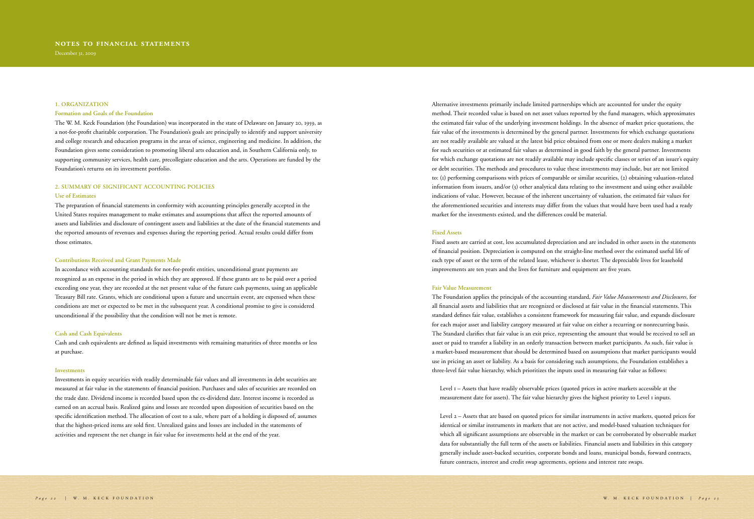#### **1. Organization**

#### **Formation and Goals of the Foundation**

The W. M. Keck Foundation (the Foundation) was incorporated in the state of Delaware on January 20, 1959, as a not-for-profit charitable corporation. The Foundation's goals are principally to identify and support university and college research and education programs in the areas of science, engineering and medicine. In addition, the Foundation gives some consideration to promoting liberal arts education and, in Southern California only, to supporting community services, health care, precollegiate education and the arts. Operations are funded by the Foundation's returns on its investment portfolio.

## **2. Summary of Significant Accounting Policies**

#### **Use of Estimates**

The preparation of financial statements in conformity with accounting principles generally accepted in the United States requires management to make estimates and assumptions that affect the reported amounts of assets and liabilities and disclosure of contingent assets and liabilities at the date of the financial statements and the reported amounts of revenues and expenses during the reporting period. Actual results could differ from those estimates.

#### **Contributions Received and Grant Payments Made**

In accordance with accounting standards for not-for-profit entities, unconditional grant payments are recognized as an expense in the period in which they are approved. If these grants are to be paid over a period exceeding one year, they are recorded at the net present value of the future cash payments, using an applicable Treasury Bill rate. Grants, which are conditional upon a future and uncertain event, are expensed when these conditions are met or expected to be met in the subsequent year. A conditional promise to give is considered unconditional if the possibility that the condition will not be met is remote.

#### **Cash and Cash Equivalents**

Cash and cash equivalents are defined as liquid investments with remaining maturities of three months or less at purchase.

#### **Investments**

Investments in equity securities with readily determinable fair values and all investments in debt securities are measured at fair value in the statements of financial position. Purchases and sales of securities are recorded on the trade date. Dividend income is recorded based upon the ex-dividend date. Interest income is recorded as earned on an accrual basis. Realized gains and losses are recorded upon disposition of securities based on the specific identification method. The allocation of cost to a sale, where part of a holding is disposed of, assumes that the highest-priced items are sold first. Unrealized gains and losses are included in the statements of activities and represent the net change in fair value for investments held at the end of the year.

Alternative investments primarily include limited partnerships which are accounted for under the equity method. Their recorded value is based on net asset values reported by the fund managers, which approximates the estimated fair value of the underlying investment holdings. In the absence of market price quotations, the fair value of the investments is determined by the general partner. Investments for which exchange quotations are not readily available are valued at the latest bid price obtained from one or more dealers making a market for such securities or at estimated fair values as determined in good faith by the general partner. Investments for which exchange quotations are not readily available may include specific classes or series of an issuer's equity or debt securities. The methods and procedures to value these investments may include, but are not limited to: (1) performing comparisons with prices of comparable or similar securities, (2) obtaining valuation-related information from issuers, and/or (3) other analytical data relating to the investment and using other available indications of value. However, because of the inherent uncertainty of valuation, the estimated fair values for the aforementioned securities and interests may differ from the values that would have been used had a ready market for the investments existed, and the differences could be material.

#### **Fixed Assets**

Fixed assets are carried at cost, less accumulated depreciation and are included in other assets in the statements of financial position. Depreciation is computed on the straight-line method over the estimated useful life of each type of asset or the term of the related lease, whichever is shorter. The depreciable lives for leasehold improvements are ten years and the lives for furniture and equipment are five years.

#### **Fair Value Measurement**

The Foundation applies the principals of the accounting standard, *Fair Value Measurements and Disclosures*, for all financial assets and liabilities that are recognized or disclosed at fair value in the financial statements. This standard defines fair value, establishes a consistent framework for measuring fair value, and expands disclosure for each major asset and liability category measured at fair value on either a recurring or nonrecurring basis. The Standard clarifies that fair value is an exit price, representing the amount that would be received to sell an asset or paid to transfer a liability in an orderly transaction between market participants. As such, fair value is a market-based measurement that should be determined based on assumptions that market participants would use in pricing an asset or liability. As a basis for considering such assumptions, the Foundation establishes a three-level fair value hierarchy, which prioritizes the inputs used in measuring fair value as follows:

Level 1 – Assets that have readily observable prices (quoted prices in active markets accessible at the measurement date for assets). The fair value hierarchy gives the highest priority to Level 1 inputs.

Level 2 – Assets that are based on quoted prices for similar instruments in active markets, quoted prices for identical or similar instruments in markets that are not active, and model-based valuation techniques for which all significant assumptions are observable in the market or can be corroborated by observable market data for substantially the full term of the assets or liabilities. Financial assets and liabilities in this category generally include asset-backed securities, corporate bonds and loans, municipal bonds, forward contracts, future contracts, interest and credit swap agreements, options and interest rate swaps.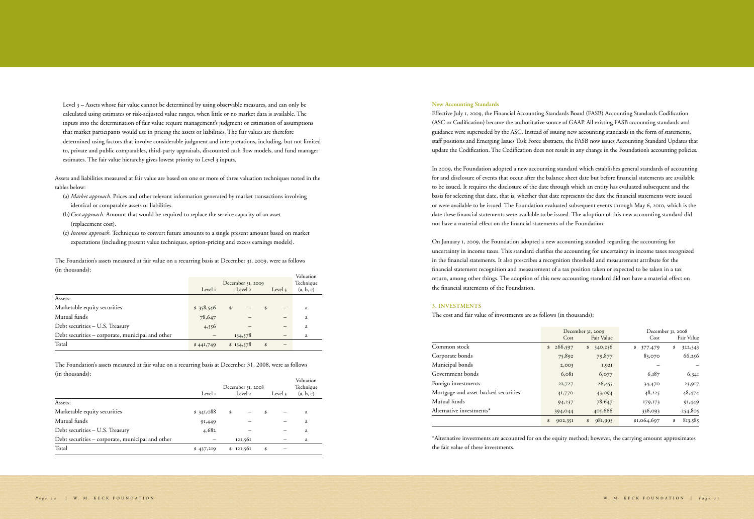Level 3 – Assets whose fair value cannot be determined by using observable measures, and can only be calculated using estimates or risk-adjusted value ranges, when little or no market data is available. The inputs into the determination of fair value require management's judgment or estimation of assumptions that market participants would use in pricing the assets or liabilities. The fair values are therefore determined using factors that involve considerable judgment and interpretations, including, but not limited to, private and public comparables, third-party appraisals, discounted cash flow models, and fund manager estimates. The fair value hierarchy gives lowest priority to Level 3 inputs.

Assets and liabilities measured at fair value are based on one or more of three valuation techniques noted in the tables below:

- (a) *Market approach.* Prices and other relevant information generated by market transactions involving identical or comparable assets or liabilities.
- (b)*Cost approach.* Amount that would be required to replace the service capacity of an asset (replacement cost).
- (c) *Income approach.* Techniques to convert future amounts to a single present amount based on market expectations (including present value techniques, option-pricing and excess earnings models).

The Foundation's assets measured at fair value on a recurring basis at December 31, 2009, were as follows (in thousands):

|                                                  | December 31, 2009<br>Level 2<br>Level 1<br>Level $\frac{1}{3}$ |           |    | Valuation<br>Technique<br>(a, b, c) |   |
|--------------------------------------------------|----------------------------------------------------------------|-----------|----|-------------------------------------|---|
| Assets:                                          |                                                                |           |    |                                     |   |
| Marketable equity securities                     | \$358,546                                                      | \$        | \$ | $\overline{\phantom{0}}$            | a |
| Mutual funds                                     | 78,647                                                         |           |    |                                     | a |
| Debt securities - U.S. Treasury                  | 4,556                                                          |           |    |                                     | a |
| Debt securities - corporate, municipal and other |                                                                | 134,578   |    |                                     | a |
| Total                                            | \$44I,749                                                      | \$134,578 | \$ |                                     |   |

The Foundation's assets measured at fair value on a recurring basis at December 31, 2008, were as follows (in thousands):

|                                                  | Level 1   | December 31, 2008<br>Level 2 | Level 3 | Valuation<br>Technique<br>(a, b, c) |
|--------------------------------------------------|-----------|------------------------------|---------|-------------------------------------|
| Assets:                                          |           |                              |         |                                     |
| Marketable equity securities                     | \$341,088 | \$                           | \$      | a                                   |
| Mutual funds                                     | 91,449    |                              |         | a                                   |
| Debt securities - U.S. Treasury                  | 4,682     |                              |         | a                                   |
| Debt securities - corporate, municipal and other |           | 121,561                      |         | a                                   |
| Total                                            | \$437,219 | \$121,561                    | \$      |                                     |

## **New Accounting Standards**

Effective July 1, 2009, the Financial Accounting Standards Board (FASB) Accounting Standards Codification (ASC or Codification) became the authoritative source of GAAP. All existing FASB accounting standards and guidance were superseded by the ASC. Instead of issuing new accounting standards in the form of statements, staff positions and Emerging Issues Task Force abstracts, the FASB now issues Accounting Standard Updates that update the Codification. The Codification does not result in any change in the Foundation's accounting policies.

In 2009, the Foundation adopted a new accounting standard which establishes general standards of accounting for and disclosure of events that occur after the balance sheet date but before financial statements are available to be issued. It requires the disclosure of the date through which an entity has evaluated subsequent and the basis for selecting that date, that is, whether that date represents the date the financial statements were issued or were available to be issued. The Foundation evaluated subsequent events through May 6, 2010, which is the date these financial statements were available to be issued. The adoption of this new accounting standard did not have a material effect on the financial statements of the Foundation.

On January 1, 2009, the Foundation adopted a new accounting standard regarding the accounting for uncertainty in income taxes. This standard clarifies the accounting for uncertainty in income taxes recognized in the financial statements. It also prescribes a recognition threshold and measurement attribute for the financial statement recognition and measurement of a tax position taken or expected to be taken in a tax return, among other things. The adoption of this new accounting standard did not have a material effect on the financial statements of the Foundation.

## **3. Investments**

The cost and fair value of investments are as follows (in thousands

|                                      | December 31, 2009         |               |               | December 31, 2008 |
|--------------------------------------|---------------------------|---------------|---------------|-------------------|
|                                      | Cost                      | Fair Value    | Cost          | Fair Value        |
| Common stock                         | 266,597<br>$\mathfrak{S}$ | 340,256<br>\$ | \$<br>377,479 | \$<br>322,343     |
| Corporate bonds                      | 75,892                    | 79,877        | 83,070        | 66,256            |
| Municipal bonds                      | 2,003                     | I,92I         |               |                   |
| Government bonds                     | 6,081                     | 6,077         | 6,187         | 6,341             |
| Foreign investments                  | 21,727                    | 26,455        | 34,470        | 23,917            |
| Mortgage and asset-backed securities | 41,770                    | 43,094        | 48,225        | 48,474            |
| Mutual funds                         | 94,237                    | 78,647        | 179,173       | 91,449            |
| Alternative investments*             | 394,044                   | 405,666       | 336,093       | 254,805           |
|                                      | \$<br>902,351             | 981,993<br>\$ | \$1,064,697   | 813,585<br>\$     |

\*Alternative investments are accounted for on the equity method; however, the carrying amount approximates the fair value of these investments.

| I      | ×<br>I |
|--------|--------|
| I<br>I |        |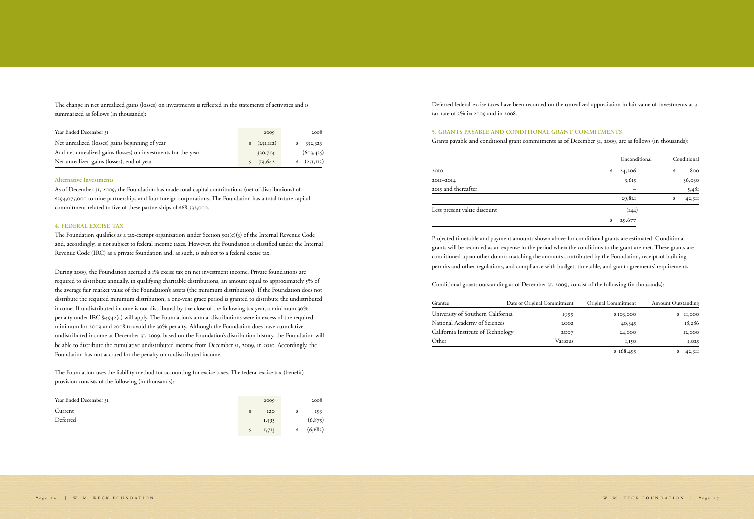The change in net unrealized gains (losses) on investments is reflected in the statements of activities and is summarized as follows (in thousands):

| Year Ended December 31                                        | 2009            | 2008         |
|---------------------------------------------------------------|-----------------|--------------|
| Net unrealized (losses) gains beginning of year               | (25I,II2)<br>\$ | 352,323      |
| Add net unrealized gains (losses) on investments for the year | 330,754         | (603, 435)   |
| Net unrealized gains (losses), end of year                    | 79,642<br>\$    | \$ (251,112) |

#### **Alternative Investments**

The Foundation qualifies as a tax-exempt organization under Section  $\text{SO}(c)(3)$  of the Internal Revenue Code and, accordingly, is not subject to federal income taxes. However, the Foundation is classified under the Internal Revenue Code (IRC) as a private foundation and, as such, is subject to a federal excise tax.

As of December 31, 2009, the Foundation has made total capital contributions (net of distributions) of \$394,075,000 to nine partnerships and four foreign corporations. The Foundation has a total future capital commitment related to five of these partnerships of \$68,332,000.

#### **4. Federal Excise Tax**

During 2009, the Foundation accrued a 1% excise tax on net investment income. Private foundations are required to distribute annually, in qualifying charitable distributions, an amount equal to approximately 5% of the average fair market value of the Foundation's assets (the minimum distribution). If the Foundation does not distribute the required minimum distribution, a one-year grace period is granted to distribute the undistributed income. If undistributed income is not distributed by the close of the following tax year, a minimum 30% penalty under IRC §4942(a) will apply. The Foundation's annual distributions were in excess of the required minimum for 2009 and 2008 to avoid the 30% penalty. Although the Foundation does have cumulative undistributed income at December 31, 2009, based on the Foundation's distribution history, the Foundation will be able to distribute the cumulative undistributed income from December 31, 2009, in 2010. Accordingly, the Foundation has not accrued for the penalty on undistributed income.

The Foundation uses the liability method for accounting for excise taxes. The federal excise tax (benefit) provision consists of the following (in thousands):

| Year Ended December 31 | 2009             | 2008    |
|------------------------|------------------|---------|
| Current                | \$<br><b>I20</b> | 193     |
| Deferred               | 1,593            | (6,875) |
|                        | \$<br>1,713      | (6,682) |

Deferred federal excise taxes have been recorded on the unrealized appreciation in fair value of investments at a tax rate of 2% in 2009 and in 2008.

## **5. Grants Payable and Conditional Grant Commitments**

Grants payable and conditional grant commitments as of December 31, 2009, are as follows (in thousands):

|                             | Unconditional | Conditional  |
|-----------------------------|---------------|--------------|
| 2010                        | \$<br>24,206  | \$<br>800    |
| 2011-2014                   | 5,615         | 36,030       |
| 2015 and thereafter         |               | 5,481        |
|                             | 29,82I        | \$<br>42,311 |
| Less present value discount | (144)         |              |
|                             | \$<br>29,677  |              |

Projected timetable and payment amounts shown above for conditional grants are estimated. Conditional grants will be recorded as an expense in the period when the conditions to the grant are met. These grants are conditioned upon other donors matching the amounts contributed by the Foundation, receipt of building permits and other regulations, and compliance with budget, timetable, and grant agreements' requirements.

Conditional grants outstanding as of December 31, 2009, consist of the following (in thousands):

| Grantee                            | Date of Original Commitment | Original Commitment | <b>Amount Outstanding</b> |
|------------------------------------|-----------------------------|---------------------|---------------------------|
| University of Southern California  | 1999                        | \$103,000           | II,000                    |
| National Academy of Sciences       | 2002                        | 40,345              | 18,286                    |
| California Institute of Technology | 2007                        | 24,000              | 12,000                    |
| Other                              | Various                     | 1,150               | 1,025                     |
|                                    |                             | \$168,495           | 42,311                    |